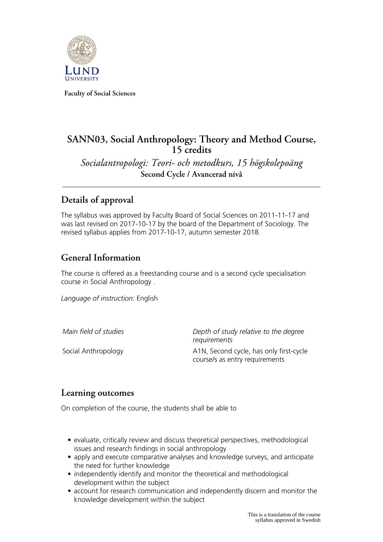

**Faculty of Social Sciences**

# **SANN03, Social Anthropology: Theory and Method Course, 15 credits**

*Socialantropologi: Teori- och metodkurs, 15 högskolepoäng* **Second Cycle / Avancerad nivå**

# **Details of approval**

The syllabus was approved by Faculty Board of Social Sciences on 2011-11-17 and was last revised on 2017-10-17 by the board of the Department of Sociology. The revised syllabus applies from 2017-10-17, autumn semester 2018.

## **General Information**

The course is offered as a freestanding course and is a second cycle specialisation course in Social Anthropology .

*Language of instruction:* English

*Main field of studies Depth of study relative to the degree requirements* Social Anthropology **A1N, Second cycle, has only first-cycle** course/s as entry requirements

## **Learning outcomes**

On completion of the course, the students shall be able to

- evaluate, critically review and discuss theoretical perspectives, methodological issues and research findings in social anthropology
- apply and execute comparative analyses and knowledge surveys, and anticipate the need for further knowledge
- independently identify and monitor the theoretical and methodological development within the subject
- account for research communication and independently discern and monitor the knowledge development within the subject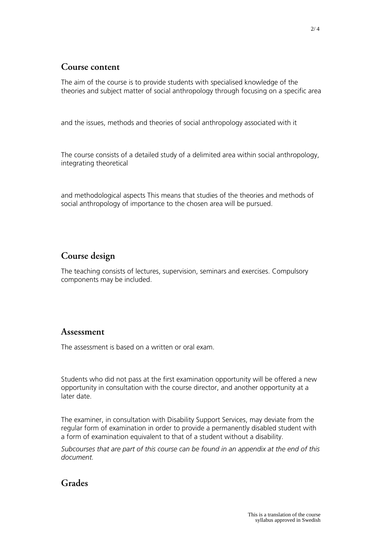#### **Course content**

The aim of the course is to provide students with specialised knowledge of the theories and subject matter of social anthropology through focusing on a specific area

and the issues, methods and theories of social anthropology associated with it

The course consists of a detailed study of a delimited area within social anthropology, integrating theoretical

and methodological aspects This means that studies of the theories and methods of social anthropology of importance to the chosen area will be pursued.

### **Course design**

The teaching consists of lectures, supervision, seminars and exercises. Compulsory components may be included.

### **Assessment**

The assessment is based on a written or oral exam.

Students who did not pass at the first examination opportunity will be offered a new opportunity in consultation with the course director, and another opportunity at a later date.

The examiner, in consultation with Disability Support Services, may deviate from the regular form of examination in order to provide a permanently disabled student with a form of examination equivalent to that of a student without a disability.

*Subcourses that are part of this course can be found in an appendix at the end of this document.*

## **Grades**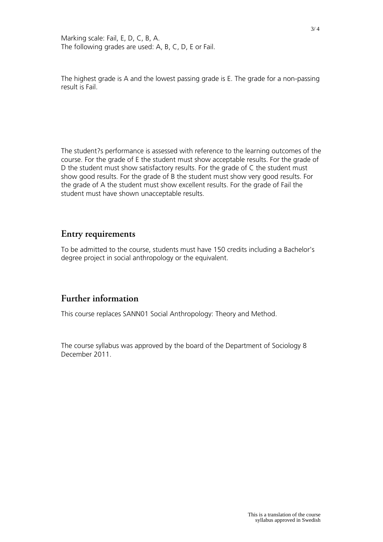Marking scale: Fail, E, D, C, B, A. The following grades are used: A, B, C, D, E or Fail.

The highest grade is A and the lowest passing grade is E. The grade for a non-passing result is Fail.

The student?s performance is assessed with reference to the learning outcomes of the course. For the grade of E the student must show acceptable results. For the grade of D the student must show satisfactory results. For the grade of C the student must show good results. For the grade of B the student must show very good results. For the grade of A the student must show excellent results. For the grade of Fail the student must have shown unacceptable results.

#### **Entry requirements**

To be admitted to the course, students must have 150 credits including a Bachelor's degree project in social anthropology or the equivalent.

### **Further information**

This course replaces SANN01 Social Anthropology: Theory and Method.

The course syllabus was approved by the board of the Department of Sociology 8 December 2011.